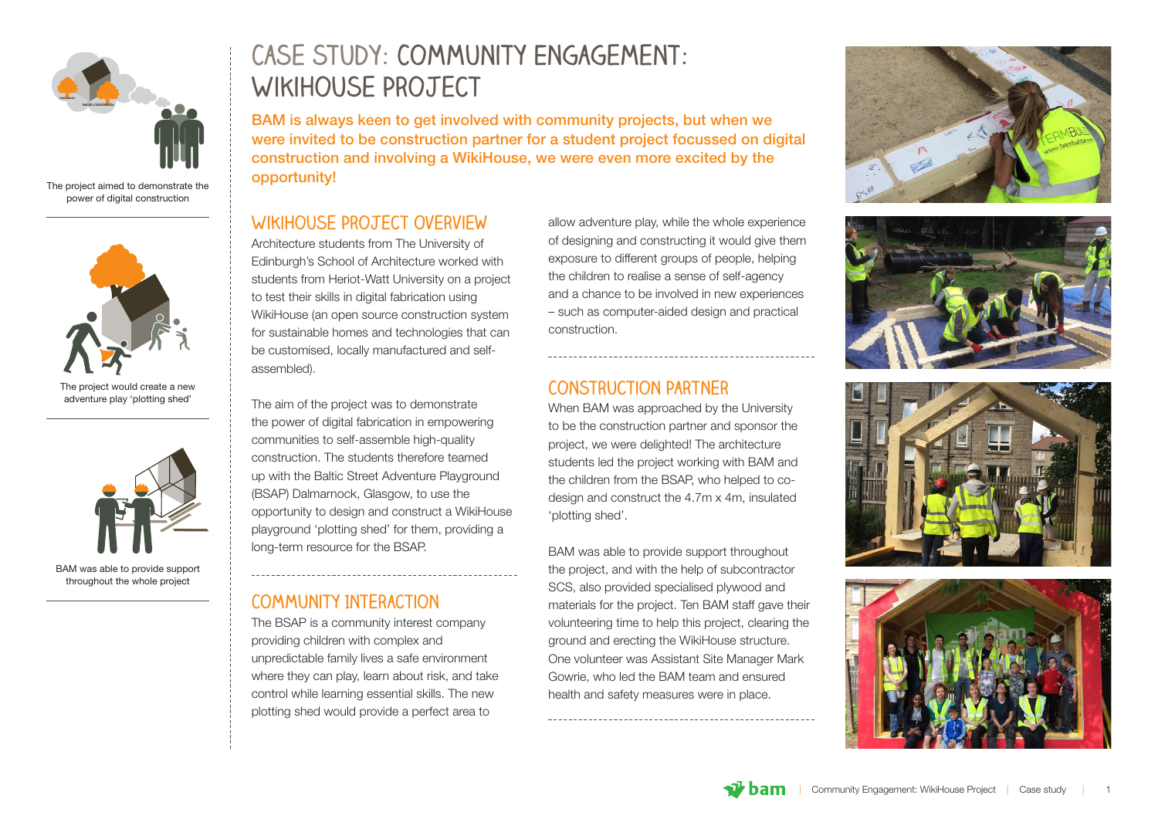

The project aimed to demonstrate the power of digital construction



The project would create a new **Adventure play 'plotting shed'** The sim of the pro-



# **Case study: Community Engagement: WikiHouse Project**

BAM is always keen to get involved with community projects, but when we were invited to be construction partner for a student project focussed on digital construction and involving a WikiHouse, we were even more excited by the opportunity!

## **COMMUNITY INTERVIEW WIKIHOUSE PROJECT OVERVIEW**

Architecture students from The University of Edinburgh's School of Architecture worked with students from Heriot-Watt University on a project to test their skills in digital fabrication using WikiHouse (an open source construction system for sustainable homes and technologies that can be customised, locally manufactured and selfassembled).

The aim of the project was to demonstrate the power of digital fabrication in empowering communities to self-assemble high-quality construction. The students therefore teamed up with the Baltic Street Adventure Playground (BSAP) Dalmarnock, Glasgow, to use the opportunity to design and construct a WikiHouse playground 'plotting shed' for them, providing a long-term resource for the BSAP.

#### **Community Interaction**

The BSAP is a community interest company providing children with complex and unpredictable family lives a safe environment where they can play, learn about risk, and take control while learning essential skills. The new plotting shed would provide a perfect area to

allow adventure play, while the whole experience of designing and constructing it would give them exposure to different groups of people, helping the children to realise a sense of self-agency and a chance to be involved in new experiences – such as computer-aided design and practical construction.

## **Construction Partner**

When BAM was approached by the University to be the construction partner and sponsor the project, we were delighted! The architecture students led the project working with BAM and the children from the BSAP, who helped to codesign and construct the 4.7m x 4m, insulated 'plotting shed'.

BAM was able to provide support throughout the project, and with the help of subcontractor SCS, also provided specialised plywood and materials for the project. Ten BAM staff gave their volunteering time to help this project, clearing the ground and erecting the WikiHouse structure. One volunteer was Assistant Site Manager Mark Gowrie, who led the BAM team and ensured health and safety measures were in place.